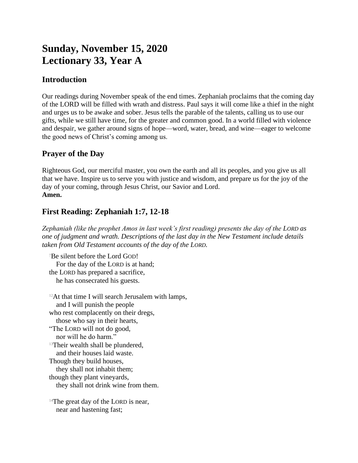# **Sunday, November 15, 2020 Lectionary 33, Year A**

## **Introduction**

Our readings during November speak of the end times. Zephaniah proclaims that the coming day of the LORD will be filled with wrath and distress. Paul says it will come like a thief in the night and urges us to be awake and sober. Jesus tells the parable of the talents, calling us to use our gifts, while we still have time, for the greater and common good. In a world filled with violence and despair, we gather around signs of hope—word, water, bread, and wine—eager to welcome the good news of Christ's coming among us.

## **Prayer of the Day**

Righteous God, our merciful master, you own the earth and all its peoples, and you give us all that we have. Inspire us to serve you with justice and wisdom, and prepare us for the joy of the day of your coming, through Jesus Christ, our Savior and Lord. **Amen.**

## **First Reading: Zephaniah 1:7, 12-18**

*Zephaniah (like the prophet Amos in last week's first reading) presents the day of the LORD as one of judgment and wrath. Descriptions of the last day in the New Testament include details taken from Old Testament accounts of the day of the LORD.*

<sup>7</sup>Be silent before the Lord GOD! For the day of the LORD is at hand; the LORD has prepared a sacrifice, he has consecrated his guests.

 $12$ At that time I will search Jerusalem with lamps, and I will punish the people who rest complacently on their dregs, those who say in their hearts, "The LORD will not do good, nor will he do harm." <sup>13</sup>Their wealth shall be plundered, and their houses laid waste. Though they build houses, they shall not inhabit them; though they plant vineyards, they shall not drink wine from them.

<sup>14</sup>The great day of the LORD is near, near and hastening fast;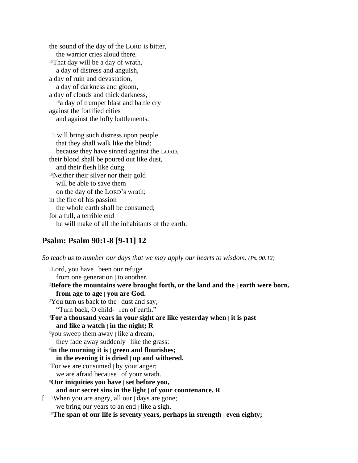the sound of the day of the LORD is bitter, the warrior cries aloud there. <sup>15</sup>That day will be a day of wrath, a day of distress and anguish, a day of ruin and devastation, a day of darkness and gloom, a day of clouds and thick darkness, <sup>16</sup>a day of trumpet blast and battle cry against the fortified cities and against the lofty battlements.

<sup>17</sup>I will bring such distress upon people that they shall walk like the blind; because they have sinned against the LORD, their blood shall be poured out like dust, and their flesh like dung. <sup>18</sup>Neither their silver nor their gold will be able to save them on the day of the LORD's wrath; in the fire of his passion the whole earth shall be consumed; for a full, a terrible end he will make of all the inhabitants of the earth.

### **Psalm: Psalm 90:1-8 [9-11] 12**

*So teach us to number our days that we may apply our hearts to wisdom. (Ps. 90:12)*

<sup>1</sup>Lord, you have | been our refuge from one generation  $\vert$  to another. <sup>2</sup>**Before the mountains were brought forth, or the land and the | earth were born, from age to age | you are God.** <sup>3</sup>You turn us back to the | dust and say, "Turn back, O child- | ren of earth." <sup>4</sup>**For a thousand years in your sight are like yesterday when | it is past and like a watch | in the night; R** <sup>5</sup>you sweep them away  $\vert$  like a dream, they fade away suddenly | like the grass: 6 **in the morning it is | green and flourishes; in the evening it is dried | up and withered.** <sup>7</sup>For we are consumed | by your anger; we are afraid because | of your wrath. <sup>8</sup>**Our iniquities you have | set before you, and our secret sins in the light | of your countenance. R** [ <sup>9</sup>When you are angry, all our | days are gone; we bring our years to an end | like a sigh. <sup>10</sup>**The span of our life is seventy years, perhaps in strength | even eighty;**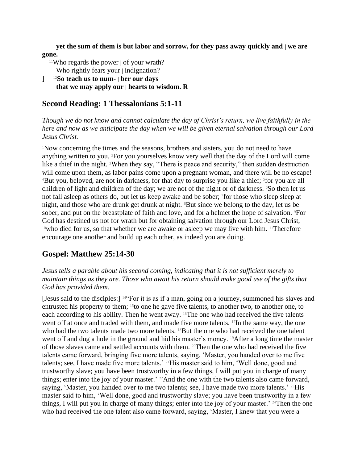**yet the sum of them is but labor and sorrow, for they pass away quickly and | we are gone.**

- <sup>11</sup>Who regards the power  $\vert$  of your wrath? Who rightly fears your | indignation?
- ] 12**So teach us to num- | ber our days that we may apply our | hearts to wisdom. R**

## **Second Reading: 1 Thessalonians 5:1-11**

*Though we do not know and cannot calculate the day of Christ's return, we live faithfully in the here and now as we anticipate the day when we will be given eternal salvation through our Lord Jesus Christ.*

<sup>1</sup>Now concerning the times and the seasons, brothers and sisters, you do not need to have anything written to you. 2For you yourselves know very well that the day of the Lord will come like a thief in the night. 3When they say, "There is peace and security," then sudden destruction will come upon them, as labor pains come upon a pregnant woman, and there will be no escape! <sup>4</sup>But you, beloved, are not in darkness, for that day to surprise you like a thief; <sup>5</sup>for you are all children of light and children of the day; we are not of the night or of darkness. <sup>6</sup>So then let us not fall asleep as others do, but let us keep awake and be sober; <sup>7</sup> for those who sleep sleep at night, and those who are drunk get drunk at night. <sup>8</sup>But since we belong to the day, let us be sober, and put on the breastplate of faith and love, and for a helmet the hope of salvation. <sup>9</sup>For God has destined us not for wrath but for obtaining salvation through our Lord Jesus Christ, <sup>10</sup>who died for us, so that whether we are awake or asleep we may live with him. <sup>11</sup>Therefore encourage one another and build up each other, as indeed you are doing.

## **Gospel: Matthew 25:14-30**

*Jesus tells a parable about his second coming, indicating that it is not sufficient merely to maintain things as they are. Those who await his return should make good use of the gifts that God has provided them.*

[Jesus said to the disciples:] 14"For it is as if a man, going on a journey, summoned his slaves and entrusted his property to them; 15to one he gave five talents, to another two, to another one, to each according to his ability. Then he went away. <sup>16</sup>The one who had received the five talents went off at once and traded with them, and made five more talents.  $17$ In the same way, the one who had the two talents made two more talents. <sup>18</sup>But the one who had received the one talent went off and dug a hole in the ground and hid his master's money. 19After a long time the master of those slaves came and settled accounts with them. 20Then the one who had received the five talents came forward, bringing five more talents, saying, 'Master, you handed over to me five talents; see, I have made five more talents.' 21His master said to him, 'Well done, good and trustworthy slave; you have been trustworthy in a few things, I will put you in charge of many things; enter into the joy of your master.' 22And the one with the two talents also came forward, saying, 'Master, you handed over to me two talents; see, I have made two more talents.' <sup>23</sup>His master said to him, 'Well done, good and trustworthy slave; you have been trustworthy in a few things, I will put you in charge of many things; enter into the joy of your master.' 24Then the one who had received the one talent also came forward, saying, 'Master, I knew that you were a